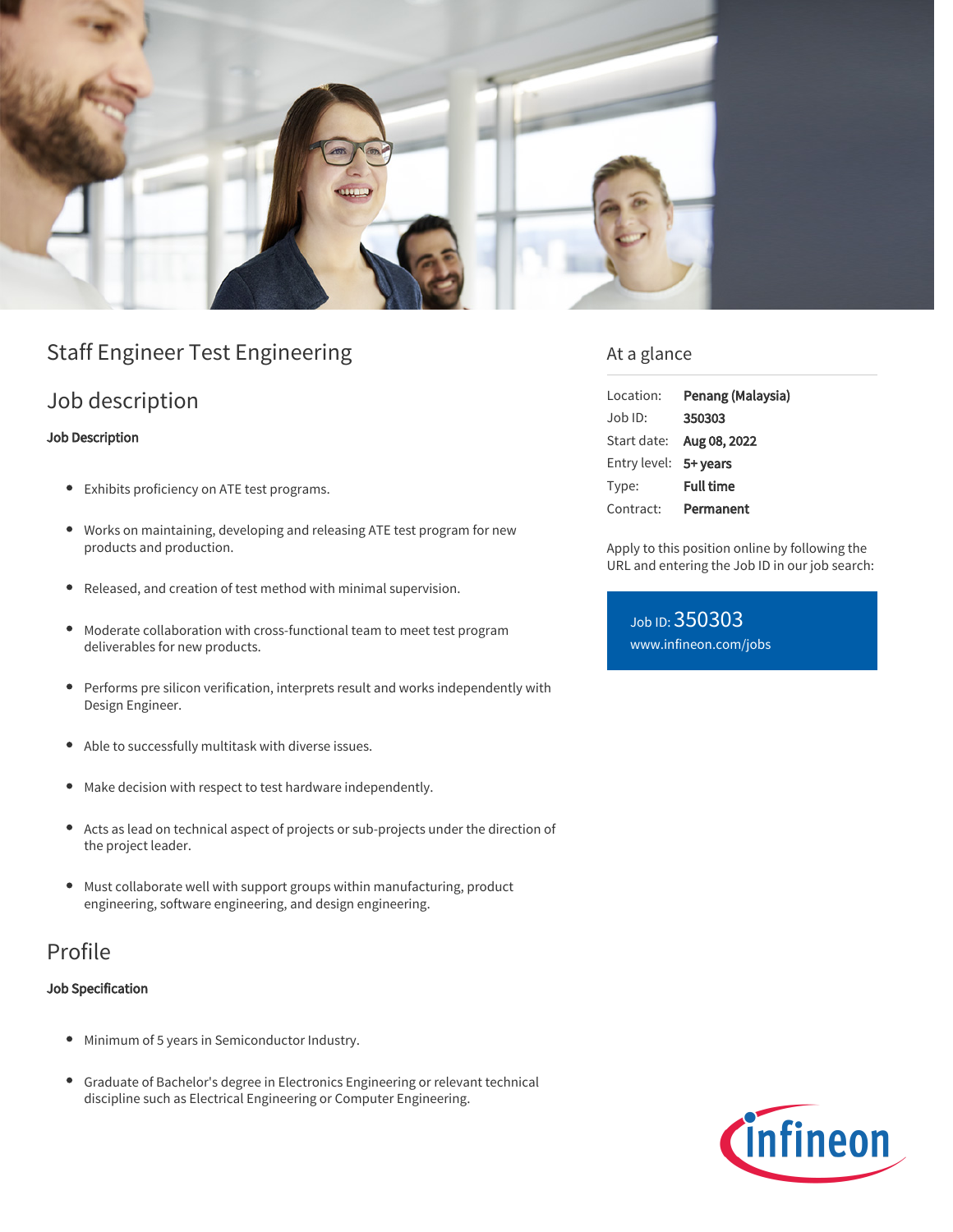

# Staff Engineer Test Engineering

### Job description

#### Job Description

- Exhibits proficiency on ATE test programs.
- Works on maintaining, developing and releasing ATE test program for new products and production.
- Released, and creation of test method with minimal supervision.  $\bullet$
- Moderate collaboration with cross-functional team to meet test program deliverables for new products.
- Performs pre silicon verification, interprets result and works independently with  $\bullet$ Design Engineer.
- Able to successfully multitask with diverse issues.
- Make decision with respect to test hardware independently.  $\bullet$
- $\bullet$ Acts as lead on technical aspect of projects or sub-projects under the direction of the project leader.
- $\bullet$ Must collaborate well with support groups within manufacturing, product engineering, software engineering, and design engineering.

## Profile

#### Job Specification

- Minimum of 5 years in Semiconductor Industry.
- Graduate of Bachelor's degree in Electronics Engineering or relevant technical discipline such as Electrical Engineering or Computer Engineering.

### At a glance

| Location:             | Penang (Malaysia) |
|-----------------------|-------------------|
| $.$ lob $ D$ :        | 350303            |
| Start date:           | Aug 08, 2022      |
| Entry level: 5+ years |                   |
| Type:                 | <b>Full time</b>  |
| Contract:             | Permanent         |

Apply to this position online by following the URL and entering the Job ID in our job search:

Job ID: 350303 [www.infineon.com/jobs](https://www.infineon.com/jobs)